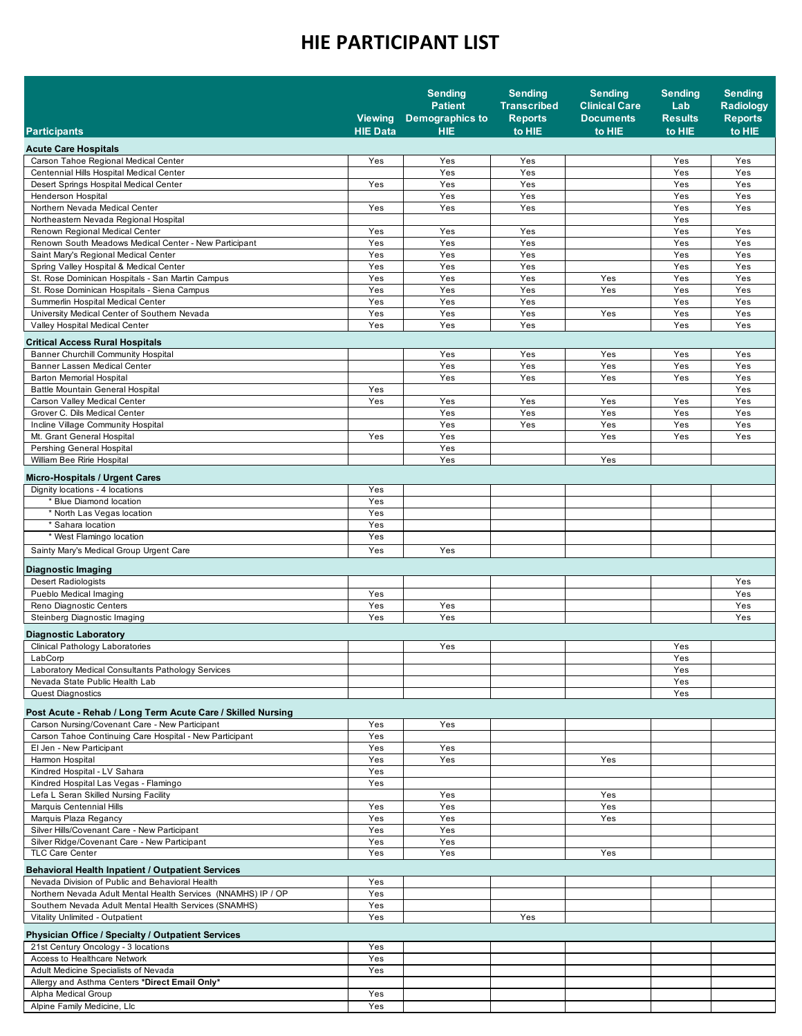|                                                                                             |                                   | <b>Sending</b><br><b>Patient</b>     | <b>Sending</b><br><b>Transcribed</b> | <b>Sending</b><br><b>Clinical Care</b> | <b>Sending</b><br>Lab    | <b>Sending</b><br><b>Radiology</b> |
|---------------------------------------------------------------------------------------------|-----------------------------------|--------------------------------------|--------------------------------------|----------------------------------------|--------------------------|------------------------------------|
| <b>Participants</b>                                                                         | <b>Viewing</b><br><b>HIE Data</b> | <b>Demographics to</b><br><b>HIE</b> | <b>Reports</b><br>to HIE             | <b>Documents</b><br>to HIE             | <b>Results</b><br>to HIE | <b>Reports</b><br>to HIE           |
| <b>Acute Care Hospitals</b>                                                                 |                                   |                                      |                                      |                                        |                          |                                    |
| Carson Tahoe Regional Medical Center                                                        | Yes                               | Yes                                  | Yes                                  |                                        | Yes                      | Yes                                |
| Centennial Hills Hospital Medical Center                                                    |                                   | Yes                                  | Yes                                  |                                        | Yes                      | Yes                                |
| Desert Springs Hospital Medical Center                                                      | Yes                               | Yes                                  | Yes                                  |                                        | Yes                      | Yes                                |
| <b>Henderson Hospital</b><br>Northern Nevada Medical Center                                 | Yes                               | Yes<br>Yes                           | Yes<br>Yes                           |                                        | Yes<br>Yes               | Yes<br>Yes                         |
| Northeastern Nevada Regional Hospital                                                       |                                   |                                      |                                      |                                        | Yes                      |                                    |
| Renown Regional Medical Center                                                              | Yes                               | Yes                                  | Yes                                  |                                        | Yes                      | Yes                                |
| Renown South Meadows Medical Center - New Participant                                       | Yes                               | Yes                                  | Yes                                  |                                        | Yes                      | Yes                                |
| Saint Mary's Regional Medical Center                                                        | Yes                               | Yes                                  | Yes                                  |                                        | Yes                      | Yes                                |
| Spring Valley Hospital & Medical Center<br>St. Rose Dominican Hospitals - San Martin Campus | Yes<br>Yes                        | Yes<br>Yes                           | Yes<br>Yes                           | Yes                                    | Yes<br>Yes               | Yes<br>Yes                         |
| St. Rose Dominican Hospitals - Siena Campus                                                 | Yes                               | Yes                                  | Yes                                  | Yes                                    | Yes                      | Yes                                |
| Summerlin Hospital Medical Center                                                           | Yes                               | Yes                                  | Yes                                  |                                        | Yes                      | Yes                                |
| University Medical Center of Southern Nevada                                                | Yes                               | Yes                                  | Yes                                  | Yes                                    | Yes                      | Yes                                |
| Valley Hospital Medical Center                                                              | Yes                               | Yes                                  | Yes                                  |                                        | Yes                      | Yes                                |
| <b>Critical Access Rural Hospitals</b>                                                      |                                   |                                      |                                      |                                        |                          |                                    |
| <b>Banner Churchill Community Hospital</b>                                                  |                                   | Yes                                  | Yes                                  | Yes                                    | Yes                      | Yes                                |
| Banner Lassen Medical Center<br><b>Barton Memorial Hospital</b>                             |                                   | Yes<br>Yes                           | Yes<br>Yes                           | Yes<br>Yes                             | Yes<br>Yes               | Yes<br>Yes                         |
| Battle Mountain General Hospital                                                            | Yes                               |                                      |                                      |                                        |                          | Yes                                |
| Carson Valley Medical Center                                                                | Yes                               | Yes                                  | Yes                                  | Yes                                    | Yes                      | Yes                                |
| Grover C. Dils Medical Center                                                               |                                   | Yes                                  | Yes                                  | Yes                                    | Yes                      | Yes                                |
| Incline Village Community Hospital                                                          |                                   | Yes                                  | Yes                                  | Yes                                    | Yes                      | Yes                                |
| Mt. Grant General Hospital<br>Pershing General Hospital                                     | Yes                               | Yes<br>Yes                           |                                      | Yes                                    | Yes                      | Yes                                |
| William Bee Ririe Hospital                                                                  |                                   | Yes                                  |                                      | Yes                                    |                          |                                    |
|                                                                                             |                                   |                                      |                                      |                                        |                          |                                    |
| <b>Micro-Hospitals / Urgent Cares</b><br>Dignity locations - 4 locations                    | Yes                               |                                      |                                      |                                        |                          |                                    |
| * Blue Diamond location                                                                     | Yes                               |                                      |                                      |                                        |                          |                                    |
| * North Las Vegas location                                                                  | Yes                               |                                      |                                      |                                        |                          |                                    |
| * Sahara location                                                                           | Yes                               |                                      |                                      |                                        |                          |                                    |
| * West Flamingo location                                                                    | Yes                               |                                      |                                      |                                        |                          |                                    |
| Sainty Mary's Medical Group Urgent Care                                                     | Yes                               | Yes                                  |                                      |                                        |                          |                                    |
| <b>Diagnostic Imaging</b>                                                                   |                                   |                                      |                                      |                                        |                          |                                    |
| <b>Desert Radiologists</b>                                                                  |                                   |                                      |                                      |                                        |                          | Yes                                |
| Pueblo Medical Imaging<br>Reno Diagnostic Centers                                           | Yes<br>Yes                        | Yes                                  |                                      |                                        |                          | Yes<br>Yes                         |
| Steinberg Diagnostic Imaging                                                                | Yes                               | Yes                                  |                                      |                                        |                          | Yes                                |
|                                                                                             |                                   |                                      |                                      |                                        |                          |                                    |
| <b>Diagnostic Laboratory</b><br>Clinical Pathology Laboratories                             |                                   | Yes                                  |                                      |                                        | Yes                      |                                    |
| LabCorp                                                                                     |                                   |                                      |                                      |                                        | Yes                      |                                    |
| Laboratory Medical Consultants Pathology Services                                           |                                   |                                      |                                      |                                        | Yes                      |                                    |
| Nevada State Public Health Lab                                                              |                                   |                                      |                                      |                                        | Yes                      |                                    |
| <b>Quest Diagnostics</b>                                                                    |                                   |                                      |                                      |                                        | Yes                      |                                    |
| Post Acute - Rehab / Long Term Acute Care / Skilled Nursing                                 |                                   |                                      |                                      |                                        |                          |                                    |
| Carson Nursing/Covenant Care - New Participant                                              | Yes                               | Yes                                  |                                      |                                        |                          |                                    |
| Carson Tahoe Continuing Care Hospital - New Participant<br>El Jen - New Participant         | Yes<br>Yes                        | Yes                                  |                                      |                                        |                          |                                    |
| Harmon Hospital                                                                             | Yes                               | Yes                                  |                                      | Yes                                    |                          |                                    |
| Kindred Hospital - LV Sahara                                                                | Yes                               |                                      |                                      |                                        |                          |                                    |
| Kindred Hospital Las Vegas - Flamingo                                                       | Yes                               |                                      |                                      |                                        |                          |                                    |
| Lefa L Seran Skilled Nursing Facility                                                       |                                   | Yes                                  |                                      | Yes                                    |                          |                                    |
| Marquis Centennial Hills<br>Marquis Plaza Regancy                                           | Yes<br>Yes                        | Yes<br>Yes                           |                                      | Yes<br>Yes                             |                          |                                    |
| Silver Hills/Covenant Care - New Participant                                                | Yes                               | Yes                                  |                                      |                                        |                          |                                    |
| Silver Ridge/Covenant Care - New Participant                                                | Yes                               | Yes                                  |                                      |                                        |                          |                                    |
| <b>TLC Care Center</b>                                                                      | Yes                               | Yes                                  |                                      | Yes                                    |                          |                                    |
| <b>Behavioral Health Inpatient / Outpatient Services</b>                                    |                                   |                                      |                                      |                                        |                          |                                    |
| Nevada Division of Public and Behavioral Health                                             | Yes                               |                                      |                                      |                                        |                          |                                    |
| Northern Nevada Adult Mental Health Services (NNAMHS) IP / OP                               | Yes                               |                                      |                                      |                                        |                          |                                    |
| Southern Nevada Adult Mental Health Services (SNAMHS)                                       | Yes                               |                                      | Yes                                  |                                        |                          |                                    |
| Vitality Unlimited - Outpatient                                                             | Yes                               |                                      |                                      |                                        |                          |                                    |
| Physician Office / Specialty / Outpatient Services                                          |                                   |                                      |                                      |                                        |                          |                                    |
| 21st Century Oncology - 3 locations<br>Access to Healthcare Network                         | Yes<br>Yes                        |                                      |                                      |                                        |                          |                                    |
| Adult Medicine Specialists of Nevada                                                        | Yes                               |                                      |                                      |                                        |                          |                                    |
| Allergy and Asthma Centers *Direct Email Only*                                              |                                   |                                      |                                      |                                        |                          |                                    |
| Alpha Medical Group                                                                         | Yes                               |                                      |                                      |                                        |                          |                                    |
| Alpine Family Medicine, Llc                                                                 | Yes                               |                                      |                                      |                                        |                          |                                    |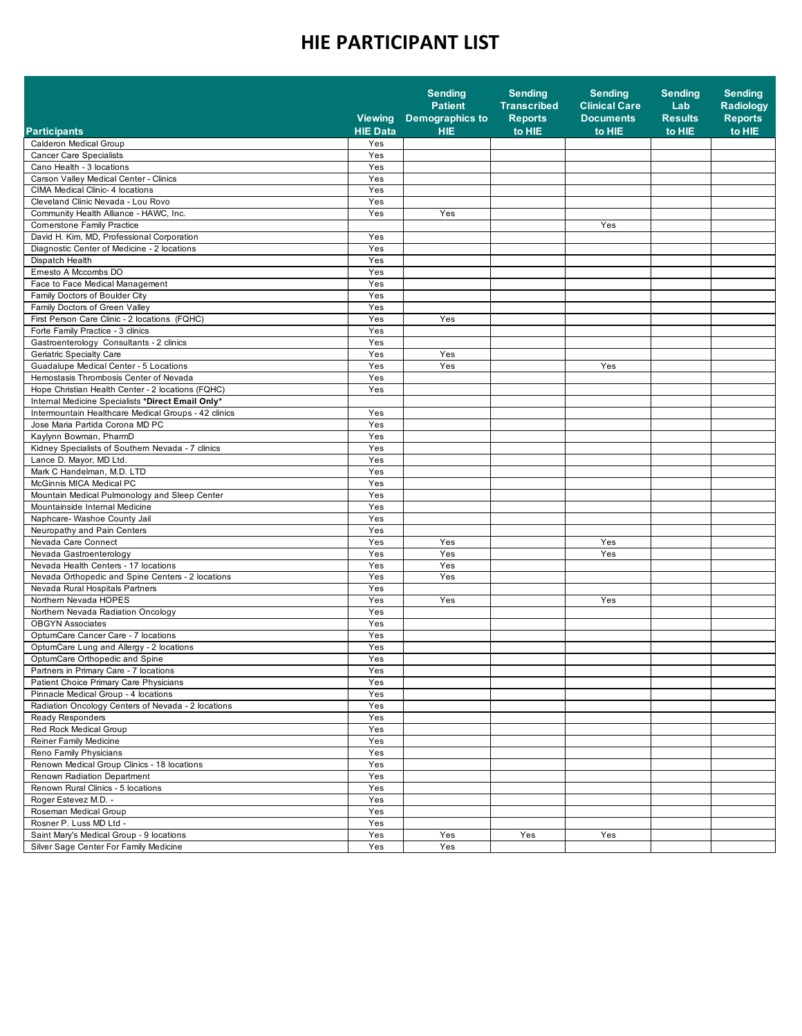|                                                      | <b>Viewing</b>  | <b>Sending</b><br><b>Patient</b><br>Demographics to | <b>Sending</b><br><b>Transcribed</b><br><b>Reports</b> | <b>Sending</b><br><b>Clinical Care</b><br><b>Documents</b> | <b>Sending</b><br>Lab<br><b>Results</b> | <b>Sending</b><br><b>Radiology</b><br><b>Reports</b> |
|------------------------------------------------------|-----------------|-----------------------------------------------------|--------------------------------------------------------|------------------------------------------------------------|-----------------------------------------|------------------------------------------------------|
| <b>Participants</b>                                  | <b>HIE Data</b> | <b>HIE</b>                                          | to HIE                                                 | to HIE                                                     | to HIE                                  | to HIE                                               |
| Calderon Medical Group                               | Yes             |                                                     |                                                        |                                                            |                                         |                                                      |
| <b>Cancer Care Specialists</b>                       | Yes             |                                                     |                                                        |                                                            |                                         |                                                      |
| Cano Health - 3 locations                            | Yes             |                                                     |                                                        |                                                            |                                         |                                                      |
| Carson Valley Medical Center - Clinics               | Yes             |                                                     |                                                        |                                                            |                                         |                                                      |
| CIMA Medical Clinic- 4 locations                     | Yes             |                                                     |                                                        |                                                            |                                         |                                                      |
| Cleveland Clinic Nevada - Lou Rovo                   | Yes             |                                                     |                                                        |                                                            |                                         |                                                      |
| Community Health Alliance - HAWC, Inc.               | Yes             | Yes                                                 |                                                        |                                                            |                                         |                                                      |
| Comerstone Family Practice                           |                 |                                                     |                                                        | Yes                                                        |                                         |                                                      |
| David H. Kim. MD. Professional Corporation           | Yes             |                                                     |                                                        |                                                            |                                         |                                                      |
| Diagnostic Center of Medicine - 2 locations          | Yes             |                                                     |                                                        |                                                            |                                         |                                                      |
| Dispatch Health                                      | Yes             |                                                     |                                                        |                                                            |                                         |                                                      |
| Emesto A Mccombs DO                                  | Yes             |                                                     |                                                        |                                                            |                                         |                                                      |
| Face to Face Medical Management                      | Yes             |                                                     |                                                        |                                                            |                                         |                                                      |
| Family Doctors of Boulder City                       | Yes             |                                                     |                                                        |                                                            |                                         |                                                      |
| Family Doctors of Green Valley                       | Yes             |                                                     |                                                        |                                                            |                                         |                                                      |
| First Person Care Clinic - 2 locations (FQHC)        | Yes             | Yes                                                 |                                                        |                                                            |                                         |                                                      |
| Forte Family Practice - 3 clinics                    | Yes             |                                                     |                                                        |                                                            |                                         |                                                      |
| Gastroenterology Consultants - 2 clinics             | Yes             |                                                     |                                                        |                                                            |                                         |                                                      |
| Geriatric Specialty Care                             | Yes             | Yes                                                 |                                                        |                                                            |                                         |                                                      |
| Guadalupe Medical Center - 5 Locations               | Yes             | Yes                                                 |                                                        | Yes                                                        |                                         |                                                      |
| Hemostasis Thrombosis Center of Nevada               | Yes             |                                                     |                                                        |                                                            |                                         |                                                      |
| Hope Christian Health Center - 2 locations (FQHC)    | Yes             |                                                     |                                                        |                                                            |                                         |                                                      |
| Internal Medicine Specialists *Direct Email Only*    |                 |                                                     |                                                        |                                                            |                                         |                                                      |
| Intermountain Healthcare Medical Groups - 42 clinics | Yes             |                                                     |                                                        |                                                            |                                         |                                                      |
| Jose Maria Partida Corona MD PC                      | Yes             |                                                     |                                                        |                                                            |                                         |                                                      |
| Kaylynn Bowman, PharmD                               | Yes             |                                                     |                                                        |                                                            |                                         |                                                      |
| Kidney Specialists of Southern Nevada - 7 clinics    | Yes             |                                                     |                                                        |                                                            |                                         |                                                      |
| Lance D. Mayor, MD Ltd.                              | Yes             |                                                     |                                                        |                                                            |                                         |                                                      |
| Mark C Handelman, M.D. LTD                           | Yes             |                                                     |                                                        |                                                            |                                         |                                                      |
| McGinnis MICA Medical PC                             | Yes             |                                                     |                                                        |                                                            |                                         |                                                      |
| Mountain Medical Pulmonology and Sleep Center        | Yes             |                                                     |                                                        |                                                            |                                         |                                                      |
| Mountainside Internal Medicine                       | Yes             |                                                     |                                                        |                                                            |                                         |                                                      |
| Naphcare- Washoe County Jail                         | Yes             |                                                     |                                                        |                                                            |                                         |                                                      |
| Neuropathy and Pain Centers                          | Yes             |                                                     |                                                        |                                                            |                                         |                                                      |
| Nevada Care Connect                                  | Yes             | Yes                                                 |                                                        | Yes                                                        |                                         |                                                      |
| Nevada Gastroenterology                              | Yes             | Yes                                                 |                                                        | Yes                                                        |                                         |                                                      |
| Nevada Health Centers - 17 locations                 | Yes             | Yes                                                 |                                                        |                                                            |                                         |                                                      |
| Nevada Orthopedic and Spine Centers - 2 locations    | Yes             | Yes                                                 |                                                        |                                                            |                                         |                                                      |
| Nevada Rural Hospitals Partners                      | Yes             |                                                     |                                                        |                                                            |                                         |                                                      |
| Northern Nevada HOPES                                | Yes             | Yes                                                 |                                                        | Yes                                                        |                                         |                                                      |
| Northern Nevada Radiation Oncology                   | Yes             |                                                     |                                                        |                                                            |                                         |                                                      |
| <b>OBGYN Associates</b>                              | Yes             |                                                     |                                                        |                                                            |                                         |                                                      |
| OptumCare Cancer Care - 7 locations                  | Yes             |                                                     |                                                        |                                                            |                                         |                                                      |
| OptumCare Lung and Allergy - 2 locations             | Yes             |                                                     |                                                        |                                                            |                                         |                                                      |
| OptumCare Orthopedic and Spine                       | Yes             |                                                     |                                                        |                                                            |                                         |                                                      |
| Partners in Primary Care - 7 locations               | Yes             |                                                     |                                                        |                                                            |                                         |                                                      |
| Patient Choice Primary Care Physicians               | Yes             |                                                     |                                                        |                                                            |                                         |                                                      |
| Pinnacle Medical Group - 4 locations                 | Yes             |                                                     |                                                        |                                                            |                                         |                                                      |
| Radiation Oncology Centers of Nevada - 2 locations   | Yes             |                                                     |                                                        |                                                            |                                         |                                                      |
| Ready Responders                                     | Yes             |                                                     |                                                        |                                                            |                                         |                                                      |
| Red Rock Medical Group                               | Yes             |                                                     |                                                        |                                                            |                                         |                                                      |
| Reiner Family Medicine                               | Yes             |                                                     |                                                        |                                                            |                                         |                                                      |
| Reno Family Physicians                               | Yes             |                                                     |                                                        |                                                            |                                         |                                                      |
| Renown Medical Group Clinics - 18 locations          | Yes             |                                                     |                                                        |                                                            |                                         |                                                      |
| Renown Radiation Department                          | Yes             |                                                     |                                                        |                                                            |                                         |                                                      |
| Renown Rural Clinics - 5 locations                   | Yes             |                                                     |                                                        |                                                            |                                         |                                                      |
| Roger Estevez M.D. -                                 | Yes             |                                                     |                                                        |                                                            |                                         |                                                      |
| Roseman Medical Group                                | Yes             |                                                     |                                                        |                                                            |                                         |                                                      |
| Rosner P. Luss MD Ltd -                              | Yes             |                                                     |                                                        |                                                            |                                         |                                                      |
| Saint Mary's Medical Group - 9 locations             | Yes             | Yes                                                 | Yes                                                    | Yes                                                        |                                         |                                                      |
| Silver Sage Center For Family Medicine               | Yes             | Yes                                                 |                                                        |                                                            |                                         |                                                      |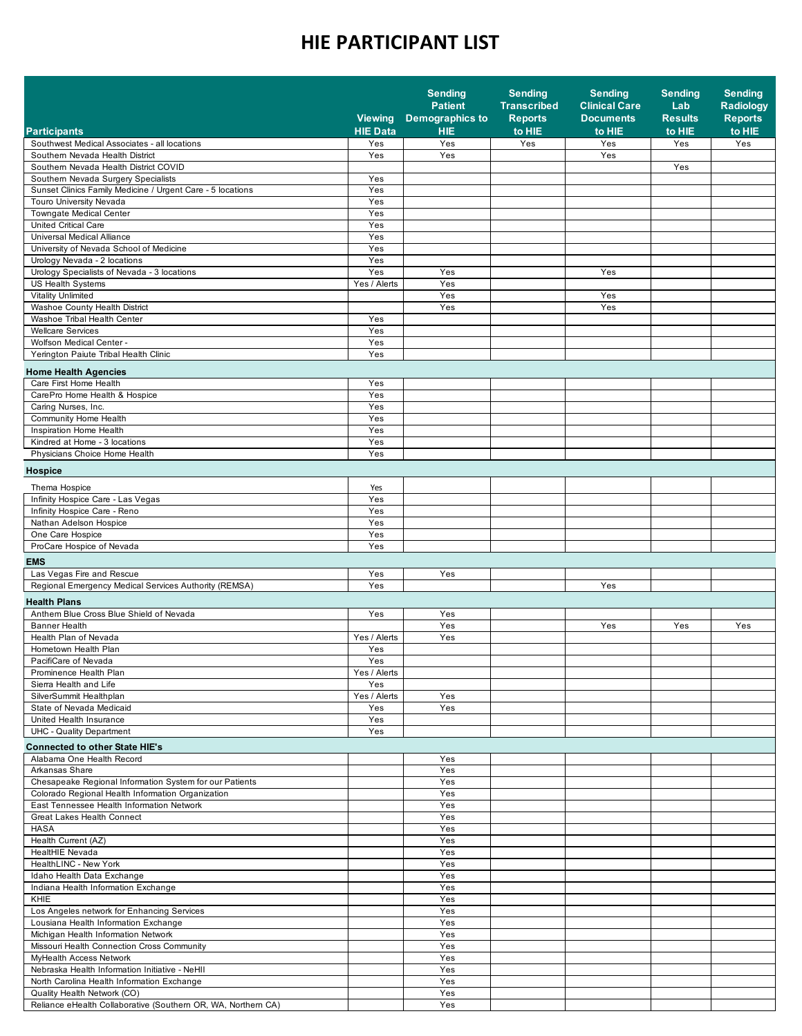|                                                                                       | <b>Viewing</b>  | <b>Sending</b><br><b>Patient</b><br><b>Demographics to</b> | <b>Sending</b><br><b>Transcribed</b><br><b>Reports</b> | <b>Sending</b><br><b>Clinical Care</b><br><b>Documents</b> | <b>Sending</b><br>Lab<br><b>Results</b> | <b>Sending</b><br>Radiology<br><b>Reports</b> |
|---------------------------------------------------------------------------------------|-----------------|------------------------------------------------------------|--------------------------------------------------------|------------------------------------------------------------|-----------------------------------------|-----------------------------------------------|
| <b>Participants</b>                                                                   | <b>HIE Data</b> | <b>HIE</b>                                                 | to HIE                                                 | to HIE                                                     | to HIE                                  | to HIE                                        |
| Southwest Medical Associates - all locations                                          | Yes             | Yes                                                        | Yes                                                    | Yes                                                        | Yes                                     | Yes                                           |
| Southern Nevada Health District                                                       | Yes             | Yes                                                        |                                                        | Yes                                                        |                                         |                                               |
| Southern Nevada Health District COVID                                                 |                 |                                                            |                                                        |                                                            | Yes                                     |                                               |
| Southern Nevada Surgery Specialists                                                   | Yes             |                                                            |                                                        |                                                            |                                         |                                               |
| Sunset Clinics Family Medicine / Urgent Care - 5 locations<br>Touro University Nevada | Yes<br>Yes      |                                                            |                                                        |                                                            |                                         |                                               |
| <b>Towngate Medical Center</b>                                                        | Yes             |                                                            |                                                        |                                                            |                                         |                                               |
| United Critical Care                                                                  | Yes             |                                                            |                                                        |                                                            |                                         |                                               |
| Universal Medical Alliance                                                            | Yes             |                                                            |                                                        |                                                            |                                         |                                               |
| University of Nevada School of Medicine                                               | Yes             |                                                            |                                                        |                                                            |                                         |                                               |
| Urology Nevada - 2 locations                                                          | Yes             |                                                            |                                                        |                                                            |                                         |                                               |
| Urology Specialists of Nevada - 3 locations                                           | Yes             | Yes                                                        |                                                        | Yes                                                        |                                         |                                               |
| <b>US Health Systems</b>                                                              | Yes / Alerts    | Yes                                                        |                                                        |                                                            |                                         |                                               |
| <b>Vitality Unlimited</b>                                                             |                 | Yes                                                        |                                                        | Yes                                                        |                                         |                                               |
| Washoe County Health District                                                         |                 | Yes                                                        |                                                        | Yes                                                        |                                         |                                               |
| Washoe Tribal Health Center                                                           | Yes             |                                                            |                                                        |                                                            |                                         |                                               |
| <b>Wellcare Services</b>                                                              | Yes             |                                                            |                                                        |                                                            |                                         |                                               |
| Wolfson Medical Center -                                                              | Yes             |                                                            |                                                        |                                                            |                                         |                                               |
| Yerington Paiute Tribal Health Clinic                                                 | Yes             |                                                            |                                                        |                                                            |                                         |                                               |
| <b>Home Health Agencies</b>                                                           |                 |                                                            |                                                        |                                                            |                                         |                                               |
| Care First Home Health                                                                | Yes             |                                                            |                                                        |                                                            |                                         |                                               |
| CarePro Home Health & Hospice                                                         | Yes             |                                                            |                                                        |                                                            |                                         |                                               |
| Caring Nurses, Inc.                                                                   | Yes             |                                                            |                                                        |                                                            |                                         |                                               |
| Community Home Health                                                                 | Yes             |                                                            |                                                        |                                                            |                                         |                                               |
| Inspiration Home Health                                                               | Yes             |                                                            |                                                        |                                                            |                                         |                                               |
| Kindred at Home - 3 locations                                                         | Yes             |                                                            |                                                        |                                                            |                                         |                                               |
| Physicians Choice Home Health                                                         | Yes             |                                                            |                                                        |                                                            |                                         |                                               |
| Hospice                                                                               |                 |                                                            |                                                        |                                                            |                                         |                                               |
|                                                                                       |                 |                                                            |                                                        |                                                            |                                         |                                               |
| Thema Hospice<br>Infinity Hospice Care - Las Vegas                                    | Yes<br>Yes      |                                                            |                                                        |                                                            |                                         |                                               |
| Infinity Hospice Care - Reno                                                          | Yes             |                                                            |                                                        |                                                            |                                         |                                               |
| Nathan Adelson Hospice                                                                | Yes             |                                                            |                                                        |                                                            |                                         |                                               |
| One Care Hospice                                                                      | Yes             |                                                            |                                                        |                                                            |                                         |                                               |
| ProCare Hospice of Nevada                                                             | Yes             |                                                            |                                                        |                                                            |                                         |                                               |
| <b>EMS</b>                                                                            |                 |                                                            |                                                        |                                                            |                                         |                                               |
| Las Vegas Fire and Rescue                                                             | Yes             | Yes                                                        |                                                        |                                                            |                                         |                                               |
| Regional Emergency Medical Services Authority (REMSA)                                 | Yes             |                                                            |                                                        | Yes                                                        |                                         |                                               |
|                                                                                       |                 |                                                            |                                                        |                                                            |                                         |                                               |
| <b>Health Plans</b>                                                                   |                 |                                                            |                                                        |                                                            |                                         |                                               |
| Anthem Blue Cross Blue Shield of Nevada<br><b>Banner Health</b>                       | Yes             | Yes<br>Yes                                                 |                                                        | Yes                                                        | Yes                                     | Yes                                           |
| Health Plan of Nevada                                                                 | Yes / Alerts    | Yes                                                        |                                                        |                                                            |                                         |                                               |
| Hometown Health Plan                                                                  | Yes             |                                                            |                                                        |                                                            |                                         |                                               |
| PacifiCare of Nevada                                                                  | Yes             |                                                            |                                                        |                                                            |                                         |                                               |
| Prominence Health Plan                                                                | Yes / Alerts    |                                                            |                                                        |                                                            |                                         |                                               |
| Sierra Health and Life                                                                | Yes             |                                                            |                                                        |                                                            |                                         |                                               |
| SilverSummit Healthplan                                                               | Yes / Alerts    | Yes                                                        |                                                        |                                                            |                                         |                                               |
| State of Nevada Medicaid                                                              | Yes             | Yes                                                        |                                                        |                                                            |                                         |                                               |
| United Health Insurance                                                               | Yes             |                                                            |                                                        |                                                            |                                         |                                               |
| UHC - Quality Department                                                              | Yes             |                                                            |                                                        |                                                            |                                         |                                               |
| <b>Connected to other State HIE's</b>                                                 |                 |                                                            |                                                        |                                                            |                                         |                                               |
| Alabama One Health Record                                                             |                 | Yes                                                        |                                                        |                                                            |                                         |                                               |
| Arkansas Share                                                                        |                 | Yes                                                        |                                                        |                                                            |                                         |                                               |
| Chesapeake Regional Information System for our Patients                               |                 | Yes                                                        |                                                        |                                                            |                                         |                                               |
| Colorado Regional Health Information Organization                                     |                 | Yes                                                        |                                                        |                                                            |                                         |                                               |
| East Tennessee Health Information Network                                             |                 | Yes                                                        |                                                        |                                                            |                                         |                                               |
| <b>Great Lakes Health Connect</b>                                                     |                 | Yes                                                        |                                                        |                                                            |                                         |                                               |
| HASA<br>Health Current (AZ)                                                           |                 | Yes<br>Yes                                                 |                                                        |                                                            |                                         |                                               |
| HealtHIE Nevada                                                                       |                 | Yes                                                        |                                                        |                                                            |                                         |                                               |
| HealthLINC - New York                                                                 |                 | Yes                                                        |                                                        |                                                            |                                         |                                               |
| Idaho Health Data Exchange                                                            |                 | Yes                                                        |                                                        |                                                            |                                         |                                               |
| Indiana Health Information Exchange                                                   |                 | Yes                                                        |                                                        |                                                            |                                         |                                               |
| <b>KHIE</b>                                                                           |                 | Yes                                                        |                                                        |                                                            |                                         |                                               |
| Los Angeles network for Enhancing Services                                            |                 | Yes                                                        |                                                        |                                                            |                                         |                                               |
| Lousiana Health Information Exchange                                                  |                 | Yes                                                        |                                                        |                                                            |                                         |                                               |
| Michigan Health Information Network                                                   |                 | Yes                                                        |                                                        |                                                            |                                         |                                               |
| Missouri Health Connection Cross Community                                            |                 | Yes                                                        |                                                        |                                                            |                                         |                                               |
| MyHealth Access Network                                                               |                 | Yes                                                        |                                                        |                                                            |                                         |                                               |
| Nebraska Health Information Initiative - NeHII                                        |                 | Yes                                                        |                                                        |                                                            |                                         |                                               |
| North Carolina Health Information Exchange                                            |                 | Yes                                                        |                                                        |                                                            |                                         |                                               |
| Quality Health Network (CO)                                                           |                 | Yes                                                        |                                                        |                                                            |                                         |                                               |
| Reliance eHealth Collaborative (Southern OR, WA, Northern CA)                         |                 | Yes                                                        |                                                        |                                                            |                                         |                                               |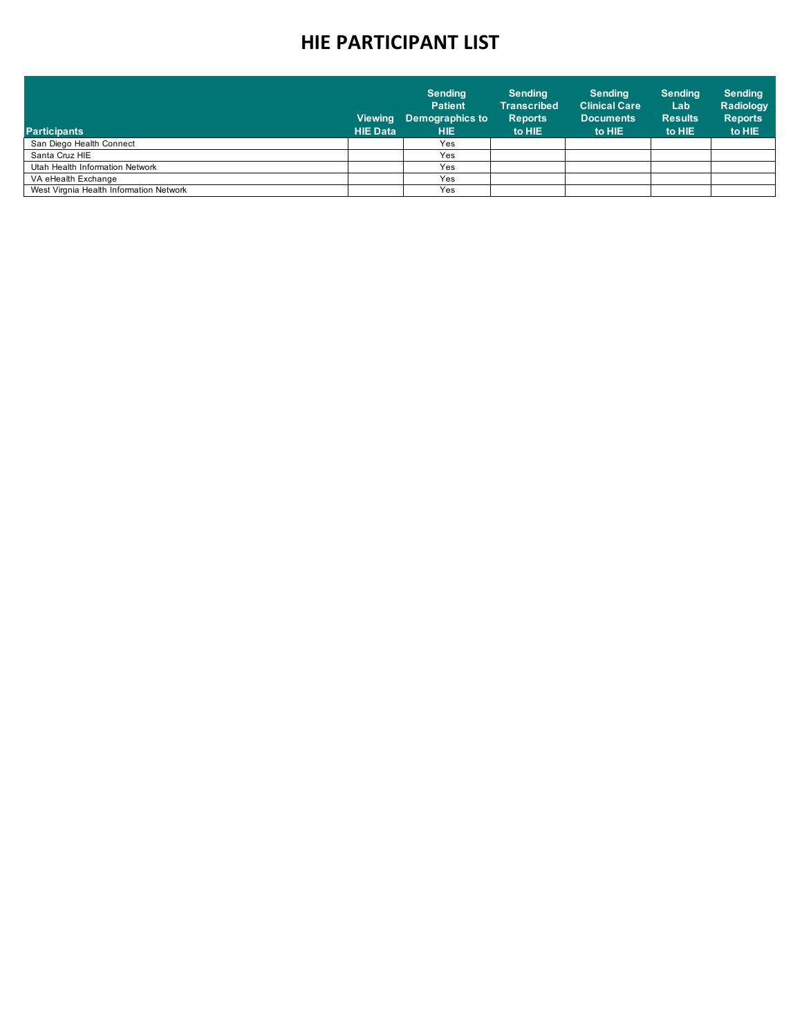| <b>Participants</b>                     | <b>Viewing</b><br><b>HIE Data</b> | <b>Sending</b><br><b>Patient</b><br>Demographics to<br><b>HIE</b> | <b>Sending</b><br><b>Transcribed</b><br><b>Reports</b><br>to HIE | <b>Sending</b><br><b>Clinical Care</b><br><b>Documents</b><br>to HIE | <b>Sending</b><br>Lab<br><b>Results</b><br>to HIE | <b>Sending</b><br>Radiology<br><b>Reports</b><br>to HIE |
|-----------------------------------------|-----------------------------------|-------------------------------------------------------------------|------------------------------------------------------------------|----------------------------------------------------------------------|---------------------------------------------------|---------------------------------------------------------|
| San Diego Health Connect                |                                   | Yes                                                               |                                                                  |                                                                      |                                                   |                                                         |
| Santa Cruz HIE                          |                                   | Yes                                                               |                                                                  |                                                                      |                                                   |                                                         |
| Utah Health Information Network         |                                   | Yes                                                               |                                                                  |                                                                      |                                                   |                                                         |
| VA eHealth Exchange                     |                                   | Yes                                                               |                                                                  |                                                                      |                                                   |                                                         |
| West Virgnia Health Information Network |                                   | Yes                                                               |                                                                  |                                                                      |                                                   |                                                         |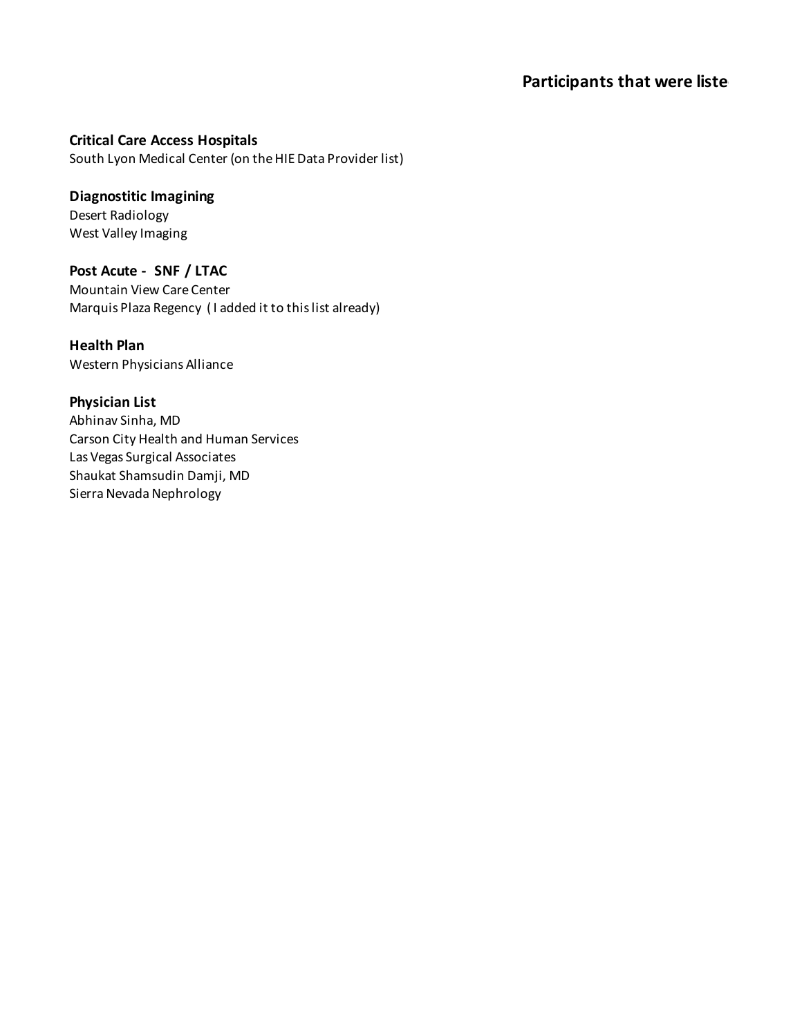#### **Participants that were liste**

**Critical Care Access Hospitals**

South Lyon Medical Center (on the HIE Data Provider list)

**Diagnostitic Imagining** Desert Radiology West Valley Imaging

**Post Acute - SNF / LTAC** Mountain View Care Center Marquis Plaza Regency ( I added it to this list already)

**Health Plan** Western Physicians Alliance

**Physician List** Abhinav Sinha, MD Carson City Health and Human Services Las Vegas Surgical Associates Shaukat Shamsudin Damji, MD Sierra Nevada Nephrology